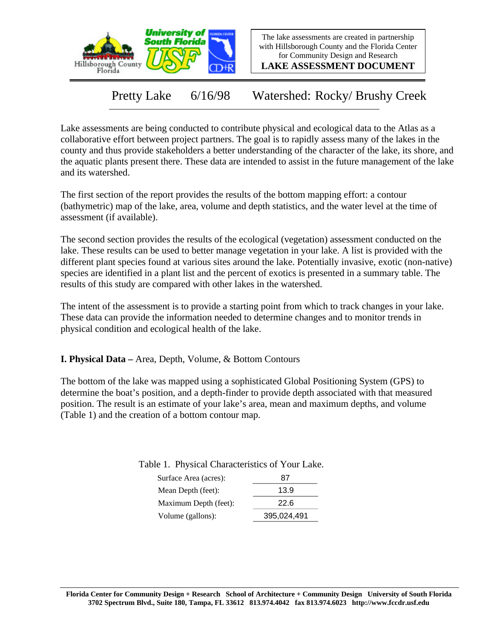

The lake assessments are created in partnership with Hillsborough County and the Florida Center for Community Design and Research

**LAKE ASSESSMENT DOCUMENT**

Pretty Lake 6/16/98 Watershed: Rocky/ Brushy Creek

Lake assessments are being conducted to contribute physical and ecological data to the Atlas as a collaborative effort between project partners. The goal is to rapidly assess many of the lakes in the county and thus provide stakeholders a better understanding of the character of the lake, its shore, and the aquatic plants present there. These data are intended to assist in the future management of the lake and its watershed.

The first section of the report provides the results of the bottom mapping effort: a contour (bathymetric) map of the lake, area, volume and depth statistics, and the water level at the time of assessment (if available).

The second section provides the results of the ecological (vegetation) assessment conducted on the lake. These results can be used to better manage vegetation in your lake. A list is provided with the different plant species found at various sites around the lake. Potentially invasive, exotic (non-native) species are identified in a plant list and the percent of exotics is presented in a summary table. The results of this study are compared with other lakes in the watershed.

The intent of the assessment is to provide a starting point from which to track changes in your lake. These data can provide the information needed to determine changes and to monitor trends in physical condition and ecological health of the lake.

**I. Physical Data –** Area, Depth, Volume, & Bottom Contours

The bottom of the lake was mapped using a sophisticated Global Positioning System (GPS) to determine the boat's position, and a depth-finder to provide depth associated with that measured position. The result is an estimate of your lake's area, mean and maximum depths, and volume (Table 1) and the creation of a bottom contour map.

| Surface Area (acres): | 87   |
|-----------------------|------|
| Mean Depth (feet):    | 13.9 |
| Maximum Depth (feet): | 22.6 |
|                       |      |

Volume (gallons): 395,024,491

Table 1. Physical Characteristics of Your Lake.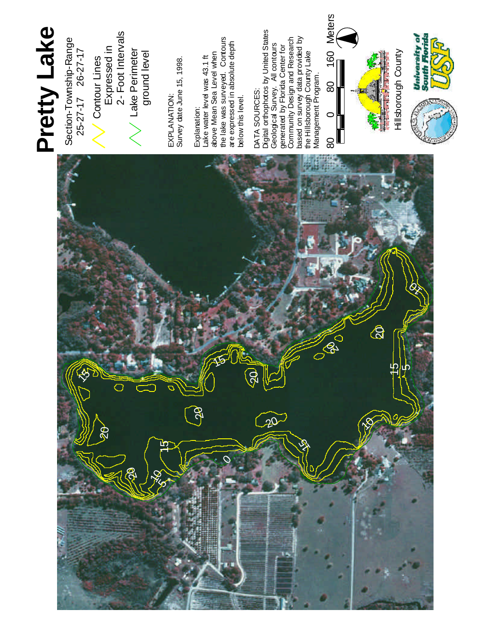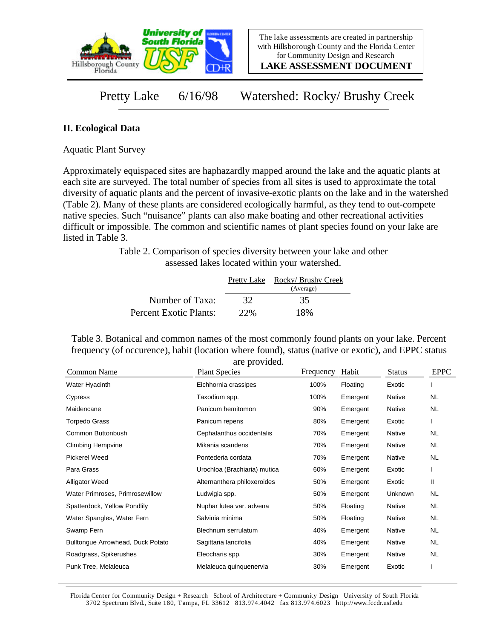

**LAKE ASSESSMENT DOCUMENT**

Pretty Lake 6/16/98 Watershed: Rocky/ Brushy Creek

## **II. Ecological Data**

Aquatic Plant Survey

Approximately equispaced sites are haphazardly mapped around the lake and the aquatic plants at each site are surveyed. The total number of species from all sites is used to approximate the total diversity of aquatic plants and the percent of invasive-exotic plants on the lake and in the watershed (Table 2). Many of these plants are considered ecologically harmful, as they tend to out-compete native species. Such "nuisance" plants can also make boating and other recreational activities difficult or impossible. The common and scientific names of plant species found on your lake are listed in Table 3.

> Table 2. Comparison of species diversity between your lake and other assessed lakes located within your watershed.

|                        |     | Pretty Lake Rocky/ Brushy Creek<br>(Average) |
|------------------------|-----|----------------------------------------------|
| Number of Taxa:        | 32  | 35                                           |
| Percent Exotic Plants: | 22% | 18%                                          |

Table 3. Botanical and common names of the most commonly found plants on your lake. Percent frequency (of occurence), habit (location where found), status (native or exotic), and EPPC status are provided.

| Common Name                       | <b>Plant Species</b>         | Frequency | Habit    | <b>Status</b> | <b>EPPC</b> |
|-----------------------------------|------------------------------|-----------|----------|---------------|-------------|
| Water Hyacinth                    | Eichhornia crassipes         | 100%      | Floating | Exotic        |             |
| Cypress                           | Taxodium spp.                | 100%      | Emergent | Native        | NL.         |
| Maidencane                        | Panicum hemitomon            | 90%       | Emergent | Native        | NL          |
| Torpedo Grass                     | Panicum repens               | 80%       | Emergent | Exotic        |             |
| Common Buttonbush                 | Cephalanthus occidentalis    | 70%       | Emergent | Native        | NL.         |
| <b>Climbing Hempvine</b>          | Mikania scandens             | 70%       | Emergent | Native        | <b>NL</b>   |
| <b>Pickerel Weed</b>              | Pontederia cordata           | 70%       | Emergent | Native        | <b>NL</b>   |
| Para Grass                        | Urochloa (Brachiaria) mutica | 60%       | Emergent | Exotic        |             |
| <b>Alligator Weed</b>             | Alternanthera philoxeroides  | 50%       | Emergent | Exotic        | Ш           |
| Water Primroses, Primrosewillow   | Ludwigia spp.                | 50%       | Emergent | Unknown       | <b>NL</b>   |
| Spatterdock, Yellow Pondlily      | Nuphar lutea var. advena     | 50%       | Floating | Native        | <b>NL</b>   |
| Water Spangles, Water Fern        | Salvinia minima              | 50%       | Floating | Native        | NL.         |
| Swamp Fern                        | Blechnum serrulatum          | 40%       | Emergent | Native        | NL.         |
| Bulltongue Arrowhead, Duck Potato | Sagittaria lancifolia        | 40%       | Emergent | Native        | NL.         |
| Roadgrass, Spikerushes            | Eleocharis spp.              | 30%       | Emergent | Native        | <b>NL</b>   |
| Punk Tree, Melaleuca              | Melaleuca quinquenervia      | 30%       | Emergent | Exotic        |             |

Florida Center for Community Design + Research School of Architecture + Community Design University of South Florida 3702 Spectrum Blvd., Suite 180, Tampa, FL 33612 813.974.4042 fax 813.974.6023 http://www.fccdr.usf.edu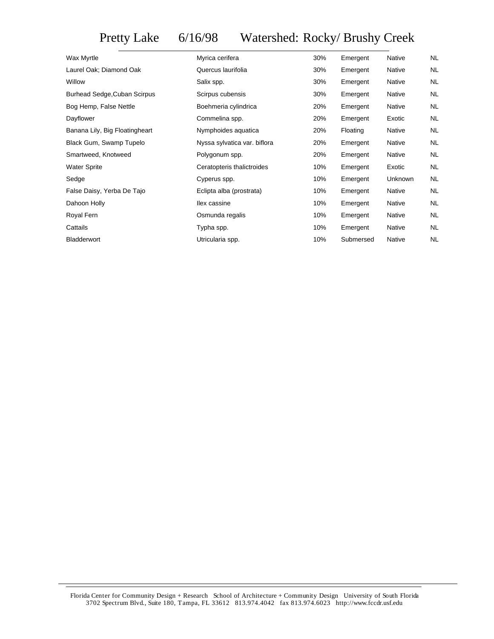Pretty Lake 6/16/98 Watershed: Rocky/ Brushy Creek

| Wax Myrtle                          | Myrica cerifera              | 30% | Emergent  | <b>Native</b> | <b>NL</b> |
|-------------------------------------|------------------------------|-----|-----------|---------------|-----------|
| Laurel Oak; Diamond Oak             | Quercus laurifolia           | 30% | Emergent  | Native        | <b>NL</b> |
| Willow                              | Salix spp.                   | 30% | Emergent  | Native        | <b>NL</b> |
| <b>Burhead Sedge, Cuban Scirpus</b> | Scirpus cubensis             | 30% | Emergent  | Native        | <b>NL</b> |
| Bog Hemp, False Nettle              | Boehmeria cylindrica         | 20% | Emergent  | Native        | <b>NL</b> |
| Dayflower                           | Commelina spp.               | 20% | Emergent  | Exotic        | <b>NL</b> |
| Banana Lily, Big Floatingheart      | Nymphoides aquatica          | 20% | Floating  | Native        | <b>NL</b> |
| Black Gum, Swamp Tupelo             | Nyssa sylvatica var. biflora | 20% | Emergent  | Native        | <b>NL</b> |
| Smartweed, Knotweed                 | Polygonum spp.               | 20% | Emergent  | Native        | <b>NL</b> |
| <b>Water Sprite</b>                 | Ceratopteris thalictroides   | 10% | Emergent  | Exotic        | <b>NL</b> |
| Sedge                               | Cyperus spp.                 | 10% | Emergent  | Unknown       | <b>NL</b> |
| False Daisy, Yerba De Tajo          | Eclipta alba (prostrata)     | 10% | Emergent  | Native        | <b>NL</b> |
| Dahoon Holly                        | llex cassine                 | 10% | Emergent  | Native        | <b>NL</b> |
| Royal Fern                          | Osmunda regalis              | 10% | Emergent  | Native        | <b>NL</b> |
| Cattails                            | Typha spp.                   | 10% | Emergent  | Native        | <b>NL</b> |
| Bladderwort                         | Utricularia spp.             | 10% | Submersed | Native        | <b>NL</b> |